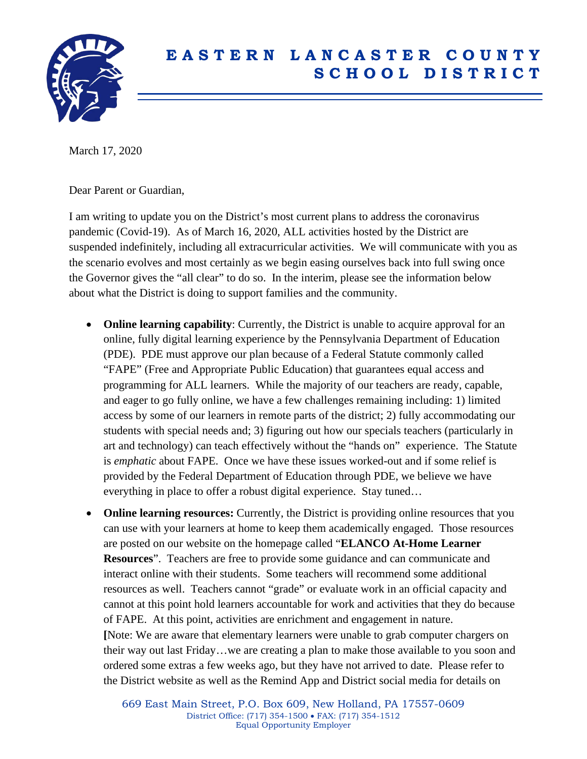

## **E A S T E R N L A N C A S T E R C O U N T Y S C H O O L D I S T R I C T**

March 17, 2020

Dear Parent or Guardian,

I am writing to update you on the District's most current plans to address the coronavirus pandemic (Covid-19). As of March 16, 2020, ALL activities hosted by the District are suspended indefinitely, including all extracurricular activities. We will communicate with you as the scenario evolves and most certainly as we begin easing ourselves back into full swing once the Governor gives the "all clear" to do so. In the interim, please see the information below about what the District is doing to support families and the community.

- **Online learning capability**: Currently, the District is unable to acquire approval for an online, fully digital learning experience by the Pennsylvania Department of Education (PDE). PDE must approve our plan because of a Federal Statute commonly called "FAPE" (Free and Appropriate Public Education) that guarantees equal access and programming for ALL learners. While the majority of our teachers are ready, capable, and eager to go fully online, we have a few challenges remaining including: 1) limited access by some of our learners in remote parts of the district; 2) fully accommodating our students with special needs and; 3) figuring out how our specials teachers (particularly in art and technology) can teach effectively without the "hands on" experience. The Statute is *emphatic* about FAPE. Once we have these issues worked-out and if some relief is provided by the Federal Department of Education through PDE, we believe we have everything in place to offer a robust digital experience. Stay tuned…
- **Online learning resources:** Currently, the District is providing online resources that you can use with your learners at home to keep them academically engaged. Those resources are posted on our website on the homepage called "**ELANCO At-Home Learner Resources**". Teachers are free to provide some guidance and can communicate and interact online with their students. Some teachers will recommend some additional resources as well. Teachers cannot "grade" or evaluate work in an official capacity and cannot at this point hold learners accountable for work and activities that they do because of FAPE. At this point, activities are enrichment and engagement in nature. **[**Note: We are aware that elementary learners were unable to grab computer chargers on their way out last Friday…we are creating a plan to make those available to you soon and ordered some extras a few weeks ago, but they have not arrived to date. Please refer to the District website as well as the Remind App and District social media for details on